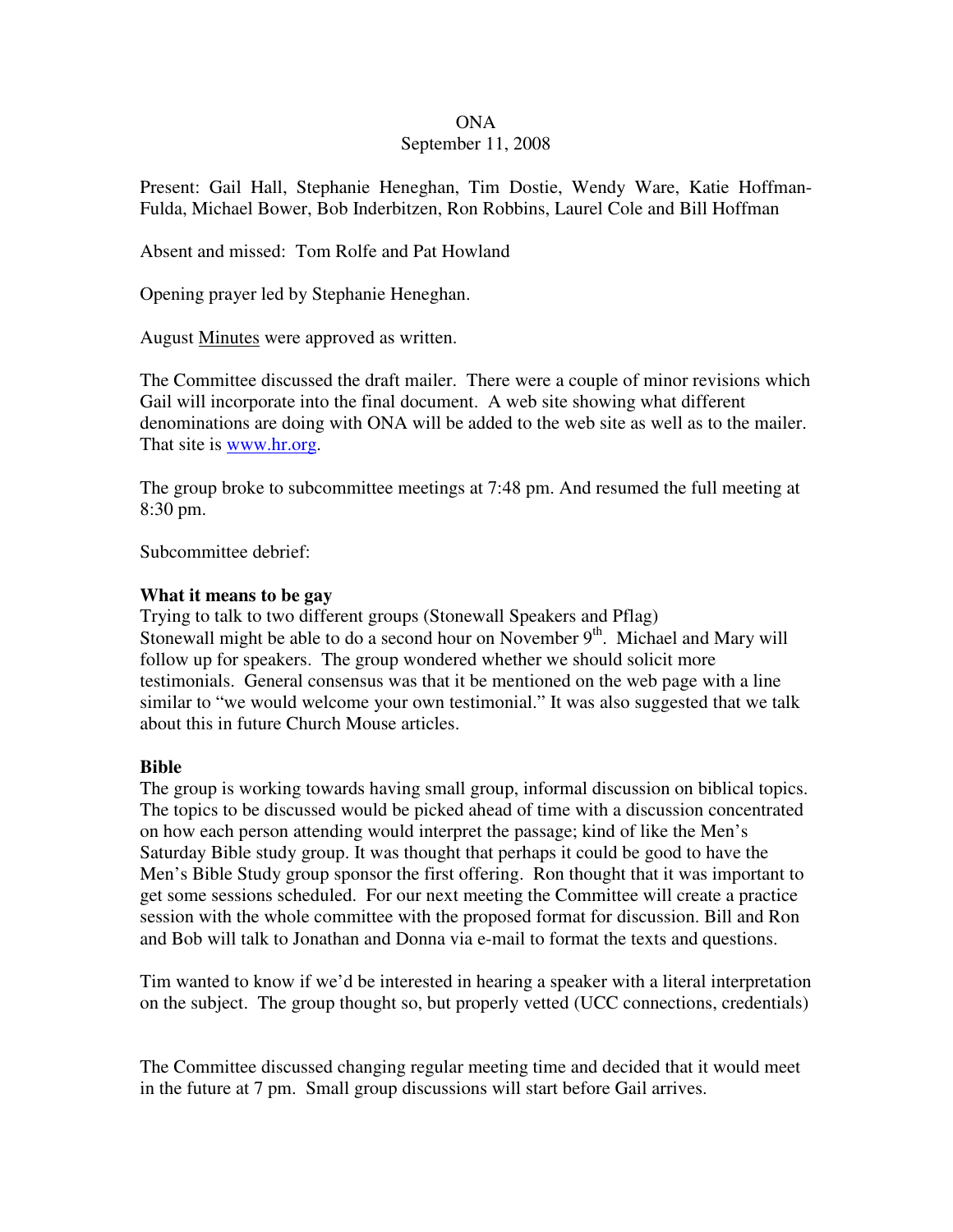## ONA

## September 11, 2008

Present: Gail Hall, Stephanie Heneghan, Tim Dostie, Wendy Ware, Katie Hoffman-Fulda, Michael Bower, Bob Inderbitzen, Ron Robbins, Laurel Cole and Bill Hoffman

Absent and missed: Tom Rolfe and Pat Howland

Opening prayer led by Stephanie Heneghan.

August Minutes were approved as written.

The Committee discussed the draft mailer. There were a couple of minor revisions which Gail will incorporate into the final document. A web site showing what different denominations are doing with ONA will be added to the web site as well as to the mailer. That site is www.hr.org.

The group broke to subcommittee meetings at 7:48 pm. And resumed the full meeting at 8:30 pm.

Subcommittee debrief:

## **What it means to be gay**

Trying to talk to two different groups (Stonewall Speakers and Pflag) Stonewall might be able to do a second hour on November  $9<sup>th</sup>$ . Michael and Mary will follow up for speakers. The group wondered whether we should solicit more testimonials. General consensus was that it be mentioned on the web page with a line similar to "we would welcome your own testimonial." It was also suggested that we talk about this in future Church Mouse articles.

## **Bible**

The group is working towards having small group, informal discussion on biblical topics. The topics to be discussed would be picked ahead of time with a discussion concentrated on how each person attending would interpret the passage; kind of like the Men's Saturday Bible study group. It was thought that perhaps it could be good to have the Men's Bible Study group sponsor the first offering. Ron thought that it was important to get some sessions scheduled. For our next meeting the Committee will create a practice session with the whole committee with the proposed format for discussion. Bill and Ron and Bob will talk to Jonathan and Donna via e-mail to format the texts and questions.

Tim wanted to know if we'd be interested in hearing a speaker with a literal interpretation on the subject. The group thought so, but properly vetted (UCC connections, credentials)

The Committee discussed changing regular meeting time and decided that it would meet in the future at 7 pm. Small group discussions will start before Gail arrives.